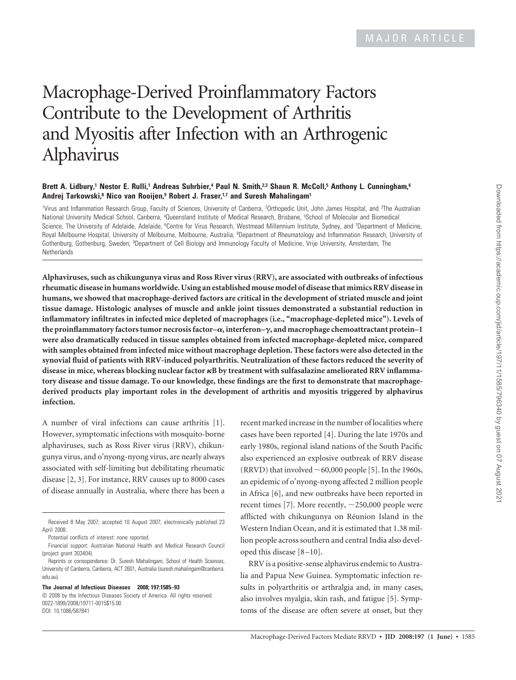# Macrophage-Derived Proinflammatory Factors Contribute to the Development of Arthritis and Myositis after Infection with an Arthrogenic Alphavirus

#### **Brett A. Lidbury,<sup>1</sup> Nestor E. Rulli,<sup>1</sup> Andreas Suhrbier,<sup>4</sup> Paul N. Smith,2,3 Shaun R. McColl,<sup>5</sup> Anthony L. Cunningham,<sup>6</sup> Andrej Tarkowski,<sup>8</sup> Nico van Rooijen,<sup>9</sup> Robert J. Fraser,1,7 and Suresh Mahalingam<sup>1</sup>**

<sup>1</sup>Virus and Inflammation Research Group, Faculty of Sciences, University of Canberra, <sup>2</sup>Orthopedic Unit, John James Hospital, and <sup>3</sup>The Australian National University Medical School, Canberra, <sup>4</sup>Queensland Institute of Medical Research, Brisbane, <sup>5</sup>School of Molecular and Biomedical Science, The University of Adelaide, Adelaide, <sup>6</sup>Centre for Virus Research, Westmead Millennium Institute, Sydney, and <sup>7</sup>Department of Medicine, Royal Melbourne Hospital, University of Melbourne, Melbourne, Australia; <sup>8</sup>Department of Rheumatology and Inflammation Research, University of Gothenburg, Gothenburg, Sweden; <sup>9</sup>Department of Cell Biology and Immunology Faculty of Medicine, Vrije University, Amsterdam, The **Netherlands** 

**Alphaviruses, such as chikungunya virus and Ross River virus (RRV), are associated with outbreaks of infectious rheumatic disease in humans worldwide. Using an established mouse model of disease that mimics RRV disease in humans, we showed that macrophage-derived factors are critical in the development of striated muscle and joint tissue damage. Histologic analyses of muscle and ankle joint tissues demonstrated a substantial reduction in inflammatory infiltrates in infected mice depleted of macrophages (i.e., "macrophage-depleted mice"). Levels of the proinflammatory factors tumor necrosis factor–, interferon–**-**, and macrophage chemoattractant protein–1 were also dramatically reduced in tissue samples obtained from infected macrophage-depleted mice, compared with samples obtained from infected mice without macrophage depletion. These factors were also detected in the synovial fluid of patients with RRV-induced polyarthritis. Neutralization of these factors reduced the severity of disease in mice, whereas blocking nuclear factor B by treatment with sulfasalazine ameliorated RRV inflammatory disease and tissue damage. To our knowledge, these findings are the first to demonstrate that macrophagederived products play important roles in the development of arthritis and myositis triggered by alphavirus infection.**

A number of viral infections can cause arthritis [1]. However, symptomatic infections with mosquito-borne alphaviruses, such as Ross River virus (RRV), chikungunya virus, and o'nyong-nyong virus, are nearly always associated with self-limiting but debilitating rheumatic disease [2, 3]. For instance, RRV causes up to 8000 cases of disease annually in Australia, where there has been a

Potential conflicts of interest: none reported.

**The Journal of Infectious Diseases 2008; 197:1585–93**

© 2008 by the Infectious Diseases Society of America. All rights reserved. 0022-1899/2008/19711-0015\$15.00 DOI: 10.1086/587841

recent marked increase in the number of localities where cases have been reported [4]. During the late 1970s and early 1980s, regional island nations of the South Pacific also experienced an explosive outbreak of RRV disease (RRVD) that involved  $\sim$  60,000 people [5]. In the 1960s, an epidemic of o'nyong-nyong affected 2 million people in Africa [6], and new outbreaks have been reported in recent times [7]. More recently,  $\sim$  250,000 people were afflicted with chikungunya on Réunion Island in the Western Indian Ocean, and it is estimated that 1.38 million people across southern and central India also developed this disease [8 –10].

RRV is a positive-sense alphavirus endemic to Australia and Papua New Guinea. Symptomatic infection results in polyarthritis or arthralgia and, in many cases, also involves myalgia, skin rash, and fatigue [5]. Symptoms of the disease are often severe at onset, but they

Received 8 May 2007; accepted 10 August 2007; electronically published 23 April 2008.

Financial support: Australian National Health and Medical Research Council (project grant 303404).

Reprints or correspondence: Dr. Suresh Mahalingam, School of Health Sciences, University of Canberra, Canberra, ACT 2601, Australia (suresh.mahalingam@canberra. edu.au).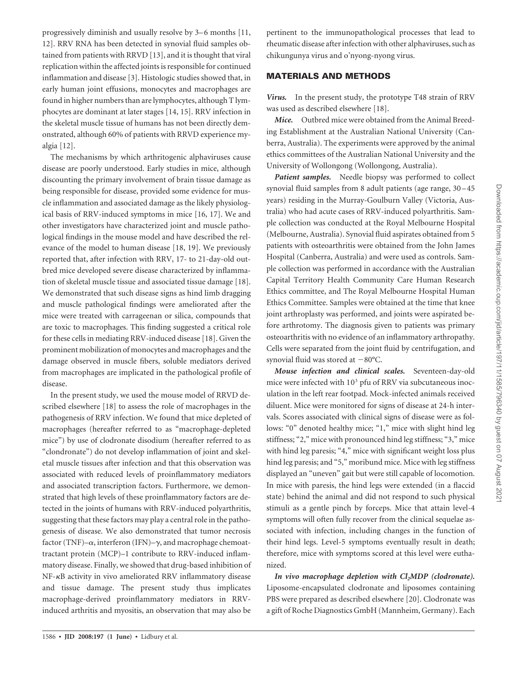progressively diminish and usually resolve by 3–6 months [11, 12]. RRV RNA has been detected in synovial fluid samples obtained from patients with RRVD [13], and it is thought that viral replication within the affected joints is responsible for continued inflammation and disease [3]. Histologic studies showed that, in early human joint effusions, monocytes and macrophages are found in higher numbers than are lymphocytes, although T lymphocytes are dominant at later stages [14, 15]. RRV infection in the skeletal muscle tissue of humans has not been directly demonstrated, although 60% of patients with RRVD experience myalgia [12].

The mechanisms by which arthritogenic alphaviruses cause disease are poorly understood. Early studies in mice, although discounting the primary involvement of brain tissue damage as being responsible for disease, provided some evidence for muscle inflammation and associated damage as the likely physiological basis of RRV-induced symptoms in mice [16, 17]. We and other investigators have characterized joint and muscle pathological findings in the mouse model and have described the relevance of the model to human disease [18, 19]. We previously reported that, after infection with RRV, 17- to 21-day-old outbred mice developed severe disease characterized by inflammation of skeletal muscle tissue and associated tissue damage [18]. We demonstrated that such disease signs as hind limb dragging and muscle pathological findings were ameliorated after the mice were treated with carrageenan or silica, compounds that are toxic to macrophages. This finding suggested a critical role for these cells in mediating RRV-induced disease [18]. Given the prominent mobilization of monocytes and macrophages and the damage observed in muscle fibers, soluble mediators derived from macrophages are implicated in the pathological profile of disease.

In the present study, we used the mouse model of RRVD described elsewhere [18] to assess the role of macrophages in the pathogenesis of RRV infection. We found that mice depleted of macrophages (hereafter referred to as "macrophage-depleted mice") by use of clodronate disodium (hereafter referred to as "clondronate") do not develop inflammation of joint and skeletal muscle tissues after infection and that this observation was associated with reduced levels of proinflammatory mediators and associated transcription factors. Furthermore, we demonstrated that high levels of these proinflammatory factors are detected in the joints of humans with RRV-induced polyarthritis, suggesting that these factors may play a central role in the pathogenesis of disease. We also demonstrated that tumor necrosis factor (TNF)– $\alpha$ , interferon (IFN)– $\gamma$ , and macrophage chemoattractant protein (MCP)–1 contribute to RRV-induced inflammatory disease. Finally, we showed that drug-based inhibition of NF-KB activity in vivo ameliorated RRV inflammatory disease and tissue damage. The present study thus implicates macrophage-derived proinflammatory mediators in RRVinduced arthritis and myositis, an observation that may also be

pertinent to the immunopathological processes that lead to rheumatic disease after infection with other alphaviruses, such as chikungunya virus and o'nyong-nyong virus.

## MATERIALS AND METHODS

*Virus.* In the present study, the prototype T48 strain of RRV was used as described elsewhere [18].

*Mice.* Outbred mice were obtained from the Animal Breeding Establishment at the Australian National University (Canberra, Australia). The experiments were approved by the animal ethics committees of the Australian National University and the University of Wollongong (Wollongong, Australia).

*Patient samples.* Needle biopsy was performed to collect synovial fluid samples from 8 adult patients (age range, 30 – 45 years) residing in the Murray-Goulburn Valley (Victoria, Australia) who had acute cases of RRV-induced polyarthritis. Sample collection was conducted at the Royal Melbourne Hospital (Melbourne, Australia). Synovial fluid aspirates obtained from 5 patients with osteoarthritis were obtained from the John James Hospital (Canberra, Australia) and were used as controls. Sample collection was performed in accordance with the Australian Capital Territory Health Community Care Human Research Ethics committee, and The Royal Melbourne Hospital Human Ethics Committee. Samples were obtained at the time that knee joint arthroplasty was performed, and joints were aspirated before arthrotomy. The diagnosis given to patients was primary osteoarthritis with no evidence of an inflammatory arthropathy. Cells were separated from the joint fluid by centrifugation, and synovial fluid was stored at  $-80^{\circ}$ C.

*Mouse infection and clinical scales.* Seventeen-day-old mice were infected with  $10<sup>3</sup>$  pfu of RRV via subcutaneous inoculation in the left rear footpad. Mock-infected animals received diluent. Mice were monitored for signs of disease at 24-h intervals. Scores associated with clinical signs of disease were as follows: "0" denoted healthy mice; "1," mice with slight hind leg stiffness; "2," mice with pronounced hind leg stiffness; "3," mice with hind leg paresis; "4," mice with significant weight loss plus hind leg paresis; and "5," moribund mice. Mice with leg stiffness displayed an "uneven" gait but were still capable of locomotion. In mice with paresis, the hind legs were extended (in a flaccid state) behind the animal and did not respond to such physical stimuli as a gentle pinch by forceps. Mice that attain level-4 symptoms will often fully recover from the clinical sequelae associated with infection, including changes in the function of their hind legs. Level-5 symptoms eventually result in death; therefore, mice with symptoms scored at this level were euthanized.

*In vivo macrophage depletion with Cl2MDP (clodronate).* Liposome-encapsulated clodronate and liposomes containing PBS were prepared as described elsewhere [20]. Clodronate was a gift of Roche Diagnostics GmbH (Mannheim, Germany). Each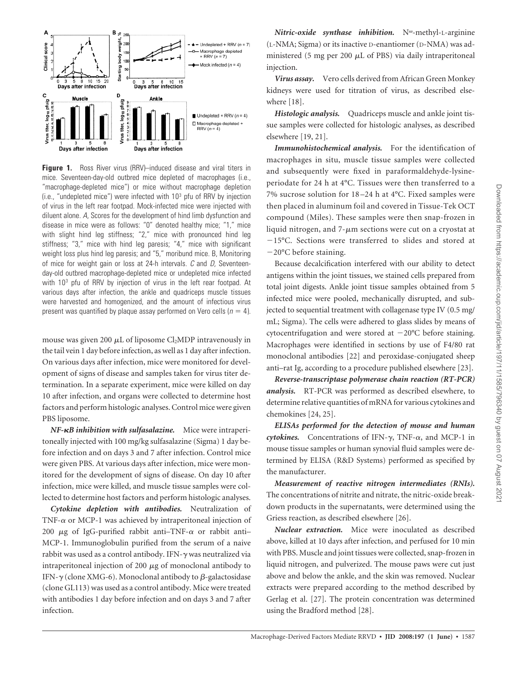

**Figure 1.** Ross River virus (RRV)–induced disease and viral titers in mice. Seventeen-day-old outbred mice depleted of macrophages (i.e., "macrophage-depleted mice") or mice without macrophage depletion (i.e., "undepleted mice") were infected with  $10<sup>3</sup>$  pfu of RRV by injection of virus in the left rear footpad. Mock-infected mice were injected with diluent alone. A, Scores for the development of hind limb dysfunction and disease in mice were as follows: "0" denoted healthy mice; "1," mice with slight hind leg stiffness; "2," mice with pronounced hind leg stiffness; "3," mice with hind leg paresis; "4," mice with significant weight loss plus hind leg paresis; and "5," moribund mice. B, Monitoring of mice for weight gain or loss at 24-h intervals.  $C$  and  $D$ , Seventeenday-old outbred macrophage-depleted mice or undepleted mice infected with 10<sup>3</sup> pfu of RRV by injection of virus in the left rear footpad. At various days after infection, the ankle and quadriceps muscle tissues were harvested and homogenized, and the amount of infectious virus present was quantified by plaque assay performed on Vero cells ( $n = 4$ ).

mouse was given 200  $\mu$ L of liposome Cl<sub>2</sub>MDP intravenously in the tail vein 1 day before infection, as well as 1 day after infection. On various days after infection, mice were monitored for development of signs of disease and samples taken for virus titer determination. In a separate experiment, mice were killed on day 10 after infection, and organs were collected to determine host factors and perform histologic analyses. Control mice were given PBS liposome.

*NF-B inhibition with sulfasalazine.* Mice were intraperitoneally injected with 100 mg/kg sulfasalazine (Sigma) 1 day before infection and on days 3 and 7 after infection. Control mice were given PBS. At various days after infection, mice were monitored for the development of signs of disease. On day 10 after infection, mice were killed, and muscle tissue samples were collected to determine host factors and perform histologic analyses.

*Cytokine depletion with antibodies.* Neutralization of TNF- $\alpha$  or MCP-1 was achieved by intraperitoneal injection of 200  $\mu$ g of IgG-purified rabbit anti-TNF- $\alpha$  or rabbit anti-MCP-1. Immunoglobulin purified from the serum of a naive rabbit was used as a control antibody. IFN- $\gamma$  was neutralized via intraperitoneal injection of 200  $\mu$ g of monoclonal antibody to IFN- $\gamma$  (clone XMG-6). Monoclonal antibody to  $\beta$ -galactosidase (clone GL113) was used as a control antibody. Mice were treated with antibodies 1 day before infection and on days 3 and 7 after infection.

*Nitric-oxide synthase inhibition.* N -methyl-L-arginine (L-NMA; Sigma) or its inactive D-enantiomer (D-NMA) was administered (5 mg per 200  $\mu$ L of PBS) via daily intraperitoneal injection.

*Virus assay.* Vero cells derived from African Green Monkey kidneys were used for titration of virus, as described elsewhere [18].

*Histologic analysis.* Quadriceps muscle and ankle joint tissue samples were collected for histologic analyses, as described elsewhere [19, 21].

*Immunohistochemical analysis.* For the identification of macrophages in situ, muscle tissue samples were collected and subsequently were fixed in paraformaldehyde-lysineperiodate for 24 h at 4°C. Tissues were then transferred to a 7% sucrose solution for 18 –24 h at 4°C. Fixed samples were then placed in aluminum foil and covered in Tissue-Tek OCT compound (Miles). These samples were then snap-frozen in liquid nitrogen, and  $7-\mu m$  sections were cut on a cryostat at -15°C. Sections were transferred to slides and stored at -20°C before staining.

Because decalcification interfered with our ability to detect antigens within the joint tissues, we stained cells prepared from total joint digests. Ankle joint tissue samples obtained from 5 infected mice were pooled, mechanically disrupted, and subjected to sequential treatment with collagenase type IV (0.5 mg/ mL; Sigma). The cells were adhered to glass slides by means of cytocentrifugation and were stored at  $-20^{\circ}$ C before staining. Macrophages were identified in sections by use of F4/80 rat monoclonal antibodies [22] and peroxidase-conjugated sheep anti–rat Ig, according to a procedure published elsewhere [23].

*Reverse-transcriptase polymerase chain reaction (RT-PCR) analysis.* RT-PCR was performed as described elsewhere, to determine relative quantities of mRNA for various cytokines and chemokines [24, 25].

*ELISAs performed for the detection of mouse and human*  $cy$ tokines. Concentrations of IFN- $\gamma$ , TNF- $\alpha$ , and MCP-1 in mouse tissue samples or human synovial fluid samples were determined by ELISA (R&D Systems) performed as specified by the manufacturer.

*Measurement of reactive nitrogen intermediates (RNIs).* The concentrations of nitrite and nitrate, the nitric-oxide breakdown products in the supernatants, were determined using the Griess reaction, as described elsewhere [26].

*Nuclear extraction.* Mice were inoculated as described above, killed at 10 days after infection, and perfused for 10 min with PBS. Muscle and joint tissues were collected, snap-frozen in liquid nitrogen, and pulverized. The mouse paws were cut just above and below the ankle, and the skin was removed. Nuclear extracts were prepared according to the method described by Gerlag et al. [27]. The protein concentration was determined using the Bradford method [28].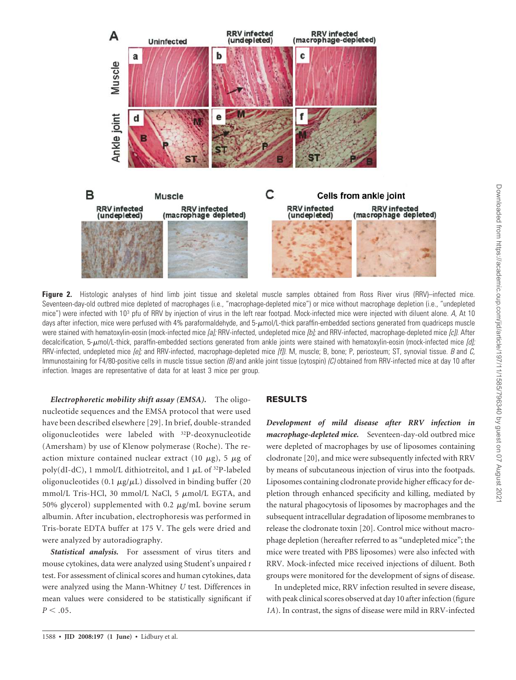

**Figure 2.** Histologic analyses of hind limb joint tissue and skeletal muscle samples obtained from Ross River virus (RRV)–infected mice. Seventeen-day-old outbred mice depleted of macrophages (i.e., "macrophage-depleted mice") or mice without macrophage depletion (i.e., "undepleted mice") were infected with 10<sup>3</sup> pfu of RRV by injection of virus in the left rear footpad. Mock-infected mice were injected with diluent alone. A, At 10 days after infection, mice were perfused with 4% paraformaldehyde, and  $5-\mu$ mol/L-thick paraffin-embedded sections generated from quadriceps muscle were stained with hematoxylin-eosin (mock-infected mice [a]; RRV-infected, undepleted mice [b]; and RRV-infected, macrophage-depleted mice [c]). After decalcification, 5- $\mu$ mol/L-thick, paraffin-embedded sections generated from ankle joints were stained with hematoxylin-eosin (mock-infected mice [d]; RRV-infected, undepleted mice  $\lceil e \rceil$ ; and RRV-infected, macrophage-depleted mice  $\lceil f \rceil$ ). M, muscle; B, bone; P, periosteum; ST, synovial tissue. B and C, Immunostaining for F4/80-positive cells in muscle tissue section  $(B)$  and ankle joint tissue (cytospin)  $(C)$  obtained from RRV-infected mice at day 10 after infection. Images are representative of data for at least 3 mice per group.

*Electrophoretic mobility shift assay (EMSA).* The oligonucleotide sequences and the EMSA protocol that were used have been described elsewhere [29]. In brief, double-stranded oligonucleotides were labeled with <sup>32</sup>P-deoxynucleotide (Amersham) by use of Klenow polymerase (Roche). The reaction mixture contained nuclear extract (10  $\mu$ g), 5  $\mu$ g of poly(dI-dC), 1 mmol/L dithiotreitol, and 1  $\mu$ L of <sup>32</sup>P-labeled oligonucleotides (0.1  $\mu$ g/ $\mu$ L) dissolved in binding buffer (20 mmol/L Tris-HCl, 30 mmol/L NaCl, 5  $\mu$ mol/L EGTA, and 50% glycerol) supplemented with 0.2  $\mu$ g/mL bovine serum albumin. After incubation, electrophoresis was performed in Tris-borate EDTA buffer at 175 V. The gels were dried and were analyzed by autoradiography.

*Statistical analysis.* For assessment of virus titers and mouse cytokines, data were analyzed using Student's unpaired *t* test. For assessment of clinical scores and human cytokines, data were analyzed using the Mann-Whitney *U* test. Differences in mean values were considered to be statistically significant if  $P < .05$ .

### RESULTS

*Development of mild disease after RRV infection in macrophage-depleted mice.* Seventeen-day-old outbred mice were depleted of macrophages by use of liposomes containing clodronate [20], and mice were subsequently infected with RRV by means of subcutaneous injection of virus into the footpads. Liposomes containing clodronate provide higher efficacy for depletion through enhanced specificity and killing, mediated by the natural phagocytosis of liposomes by macrophages and the subsequent intracellular degradation of liposome membranes to release the clodronate toxin [20]. Control mice without macrophage depletion (hereafter referred to as "undepleted mice"; the mice were treated with PBS liposomes) were also infected with RRV. Mock-infected mice received injections of diluent. Both groups were monitored for the development of signs of disease.

In undepleted mice, RRV infection resulted in severe disease, with peak clinical scores observed at day 10 after infection (figure *1A*). In contrast, the signs of disease were mild in RRV-infected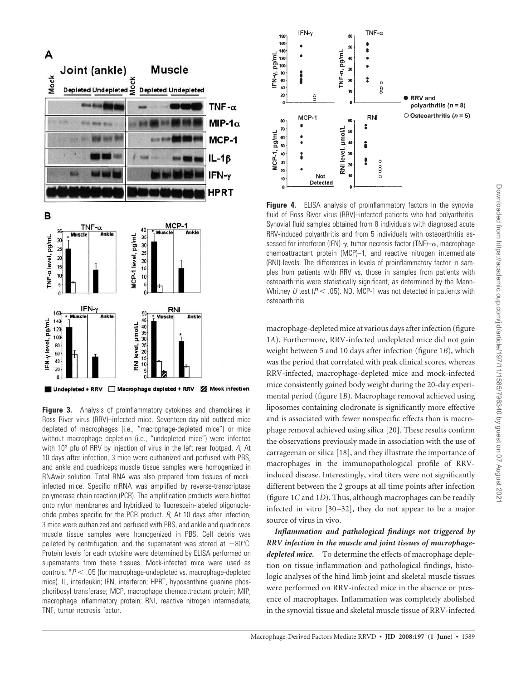

**Figure 3.** Analysis of proinflammatory cytokines and chemokines in Ross River virus (RRV)–infected mice. Seventeen-day-old outbred mice depleted of macrophages (i.e., "macrophage-depleted mice") or mice without macrophage depletion (i.e., "undepleted mice") were infected with 10<sup>3</sup> pfu of RRV by injection of virus in the left rear footpad. A, At 10 days after infection, 3 mice were euthanized and perfused with PBS, and ankle and quadriceps muscle tissue samples were homogenized in RNAwiz solution. Total RNA was also prepared from tissues of mockinfected mice. Specific mRNA was amplified by reverse-transcriptase polymerase chain reaction (PCR). The amplification products were blotted onto nylon membranes and hybridized to fluorescein-labeled oligonucleotide probes specific for the PCR product.  $B$ , At 10 days after infection, 3 mice were euthanized and perfused with PBS, and ankle and quadriceps muscle tissue samples were homogenized in PBS. Cell debris was pelleted by centrifugation, and the supernatant was stored at  $-80^{\circ}$ C. Protein levels for each cytokine were determined by ELISA performed on supernatants from these tissues. Mock-infected mice were used as controls.  $*P < .05$  (for macrophage-undepleted vs. macrophage-depleted mice). IL, interleukin; IFN, interferon; HPRT, hypoxanthine guanine phosphoribosyl transferase; MCP, macrophage chemoattractant protein; MIP, macrophage inflammatory protein; RNI, reactive nitrogen intermediate; TNF, tumor necrosis factor.



**Figure 4.** ELISA analysis of proinflammatory factors in the synovial fluid of Ross River virus (RRV)–infected patients who had polyarthritis. Synovial fluid samples obtained from 8 individuals with diagnosed acute RRV-induced polyarthritis and from 5 individuals with osteoarthritis assessed for interferon (IFN)- $\gamma$ , tumor necrosis factor (TNF)- $\alpha$ , macrophage chemoattractant protein (MCP)–1, and reactive nitrogen intermediate (RNI) levels. The differences in levels of proinflammatory factor in samples from patients with RRV vs. those in samples from patients with osteoarthritis were statistically significant, as determined by the Mann-Whitney U test ( $P < .05$ ). ND, MCP-1 was not detected in patients with osteoarthritis.

macrophage-depleted mice at various days after infection (figure 1*A*). Furthermore, RRV-infected undepleted mice did not gain weight between 5 and 10 days after infection (figure 1*B*), which was the period that correlated with peak clinical scores, whereas RRV-infected, macrophage-depleted mice and mock-infected mice consistently gained body weight during the 20-day experimental period (figure 1*B*). Macrophage removal achieved using liposomes containing clodronate is significantly more effective and is associated with fewer nonspecific effects than is macrophage removal achieved using silica [20]. These results confirm the observations previously made in association with the use of carrageenan or silica [18], and they illustrate the importance of macrophages in the immunopathological profile of RRVinduced disease. Interestingly, viral titers were not significantly different between the 2 groups at all time points after infection (figure 1*C* and 1*D*). Thus, although macrophages can be readily infected in vitro [30 –32], they do not appear to be a major source of virus in vivo.

*Inflammation and pathological findings not triggered by RRV infection in the muscle and joint tissues of macrophagedepleted mice.* To determine the effects of macrophage depletion on tissue inflammation and pathological findings, histologic analyses of the hind limb joint and skeletal muscle tissues were performed on RRV-infected mice in the absence or presence of macrophages. Inflammation was completely abolished in the synovial tissue and skeletal muscle tissue of RRV-infected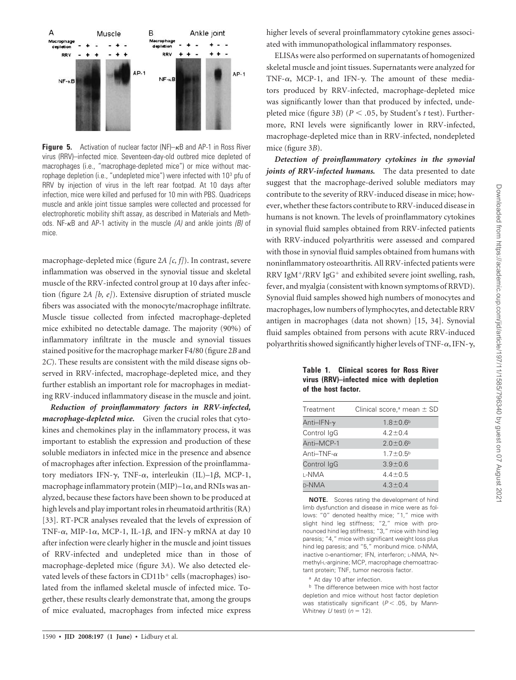

**Figure 5.** Activation of nuclear factor ( $NF$ )– $\kappa$ B and AP-1 in Ross River virus (RRV)–infected mice. Seventeen-day-old outbred mice depleted of macrophages (i.e., "macrophage-depleted mice") or mice without macrophage depletion (i.e., "undepleted mice") were infected with 10<sup>3</sup> pfu of RRV by injection of virus in the left rear footpad. At 10 days after infection, mice were killed and perfused for 10 min with PBS. Quadriceps muscle and ankle joint tissue samples were collected and processed for electrophoretic mobility shift assay, as described in Materials and Methods. NF- $\kappa$ B and AP-1 activity in the muscle (A) and ankle joints (B) of mice.

macrophage-depleted mice (figure 2*A [c, f]*). In contrast, severe inflammation was observed in the synovial tissue and skeletal muscle of the RRV-infected control group at 10 days after infection (figure 2*A [b, e]*). Extensive disruption of striated muscle fibers was associated with the monocyte/macrophage infiltrate. Muscle tissue collected from infected macrophage-depleted mice exhibited no detectable damage. The majority (90%) of inflammatory infiltrate in the muscle and synovial tissues stained positive for the macrophage marker F4/80 (figure 2*B* and 2*C*). These results are consistent with the mild disease signs observed in RRV-infected, macrophage-depleted mice, and they further establish an important role for macrophages in mediating RRV-induced inflammatory disease in the muscle and joint.

*Reduction of proinflammatory factors in RRV-infected, macrophage-depleted mice.* Given the crucial roles that cytokines and chemokines play in the inflammatory process, it was important to establish the expression and production of these soluble mediators in infected mice in the presence and absence of macrophages after infection. Expression of the proinflammatory mediators IFN- $\gamma$ , TNF- $\alpha$ , interleukin (IL)–1 $\beta$ , MCP-1, macrophage inflammatory protein  $(MIP)$ –1 $\alpha$ , and RNIs was analyzed, because these factors have been shown to be produced at high levels and play important roles in rheumatoid arthritis (RA) [33]. RT-PCR analyses revealed that the levels of expression of TNF- $\alpha$ , MIP-1 $\alpha$ , MCP-1, IL-1 $\beta$ , and IFN- $\gamma$  mRNA at day 10 after infection were clearly higher in the muscle and joint tissues of RRV-infected and undepleted mice than in those of macrophage-depleted mice (figure 3*A*). We also detected elevated levels of these factors in  $CD11b<sup>+</sup>$  cells (macrophages) isolated from the inflamed skeletal muscle of infected mice. Together, these results clearly demonstrate that, among the groups of mice evaluated, macrophages from infected mice express

skeletal muscle and joint tissues. Supernatants were analyzed for TNF- $\alpha$ , MCP-1, and IFN- $\gamma$ . The amount of these mediators produced by RRV-infected, macrophage-depleted mice was significantly lower than that produced by infected, undepleted mice (figure 3*B*) (*P* .05, by Student's *t* test). Furthermore, RNI levels were significantly lower in RRV-infected, macrophage-depleted mice than in RRV-infected, nondepleted mice (figure 3*B*).

higher levels of several proinflammatory cytokine genes associated with immunopathological inflammatory responses.

*Detection of proinflammatory cytokines in the synovial joints of RRV-infected humans.* The data presented to date suggest that the macrophage-derived soluble mediators may contribute to the severity of RRV-induced disease in mice; however, whether these factors contribute to RRV-induced disease in humans is not known. The levels of proinflammatory cytokines in synovial fluid samples obtained from RRV-infected patients with RRV-induced polyarthritis were assessed and compared with those in synovial fluid samples obtained from humans with noninflammatory osteoarthritis. All RRV-infected patients were RRV IgM+/RRV IgG+ and exhibited severe joint swelling, rash, fever, and myalgia (consistent with known symptoms of RRVD). Synovial fluid samples showed high numbers of monocytes and macrophages, low numbers of lymphocytes, and detectable RRV antigen in macrophages (data not shown) [15, 34]. Synovial fluid samples obtained from persons with acute RRV-induced polyarthritis showed significantly higher levels of TNF- $\alpha$ , IFN- $\gamma$ ,

**Table 1. Clinical scores for Ross River virus (RRV)–infected mice with depletion of the host factor.**

| Treatment          | Clinical score, <sup>a</sup> mean $\pm$ SD |
|--------------------|--------------------------------------------|
| Anti–IFN- $\gamma$ | $1.8 \pm 0.6^{\rm b}$                      |
| Control IgG        | $4.2 \pm 0.4$                              |
| Anti-MCP-1         | $2.0 \pm 0.6^b$                            |
| Anti–TNF- $\alpha$ | $1.7 \pm 0.5^{\rm b}$                      |
| Control lgG        | $3.9 + 0.6$                                |
| l-NMA              | $4.4 \pm 0.5$                              |
| <b>D-NMA</b>       | $4.3 \pm 0.4$                              |
|                    |                                            |

**NOTE.** Scores rating the development of hind limb dysfunction and disease in mice were as follows: "0" denoted healthy mice; "1," mice with slight hind leg stiffness; "2," mice with pronounced hind leg stiffness; "3," mice with hind leg paresis; "4," mice with significant weight loss plus hind leg paresis; and "5," moribund mice. D-NMA, inactive D-enantiomer; IFN, interferon; L-NMA, N<sup>o-</sup> methyl-L-arginine; MCP, macrophage chemoattractant protein; TNF, tumor necrosis factor.

<sup>a</sup> At day 10 after infection.

**b** The difference between mice with host factor depletion and mice without host factor depletion was statistically significant ( $P < .05$ , by Mann-Whitney U test) ( $n = 12$ ).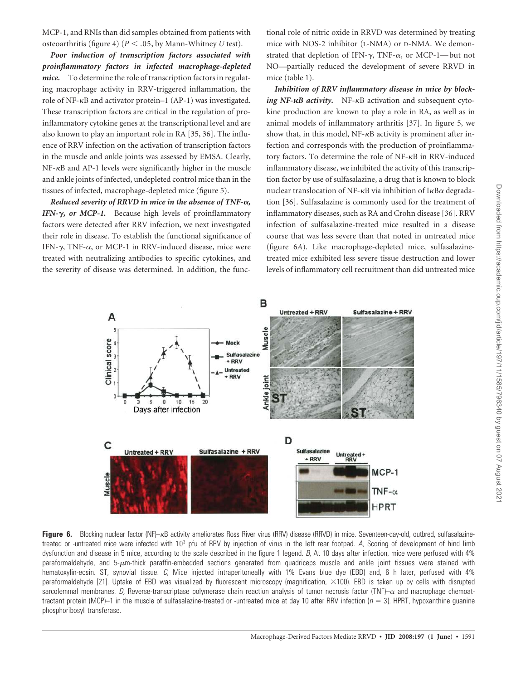MCP-1, and RNIs than did samples obtained from patients with osteoarthritis (figure 4) (*P* .05, by Mann-Whitney *U* test).

*Poor induction of transcription factors associated with proinflammatory factors in infected macrophage-depleted mice.* To determine the role of transcription factors in regulating macrophage activity in RRV-triggered inflammation, the role of NF- $\kappa$ B and activator protein–1 (AP-1) was investigated. These transcription factors are critical in the regulation of proinflammatory cytokine genes at the transcriptional level and are also known to play an important role in RA [35, 36]. The influence of RRV infection on the activation of transcription factors in the muscle and ankle joints was assessed by EMSA. Clearly,  $NF-\kappa B$  and  $AP-1$  levels were significantly higher in the muscle and ankle joints of infected, undepleted control mice than in the tissues of infected, macrophage-depleted mice (figure 5).

*Reduced severity of RRVD in mice in the absence of TNF-α, IFN-γ*, *or MCP-1*. Because high levels of proinflammatory factors were detected after RRV infection, we next investigated their role in disease. To establish the functional significance of IFN- $\gamma$ , TNF- $\alpha$ , or MCP-1 in RRV-induced disease, mice were treated with neutralizing antibodies to specific cytokines, and the severity of disease was determined. In addition, the functional role of nitric oxide in RRVD was determined by treating mice with NOS-2 inhibitor (L-NMA) or D-NMA. We demonstrated that depletion of IFN- $\gamma$ , TNF- $\alpha$ , or MCP-1—but not NO—partially reduced the development of severe RRVD in mice (table 1).

*Inhibition of RRV inflammatory disease in mice by block*ing NF- $\kappa$ B activity. NF- $\kappa$ B activation and subsequent cytokine production are known to play a role in RA, as well as in animal models of inflammatory arthritis [37]. In figure 5, we show that, in this model,  $NF-\kappa B$  activity is prominent after infection and corresponds with the production of proinflammatory factors. To determine the role of  $NF-\kappa B$  in RRV-induced inflammatory disease, we inhibited the activity of this transcription factor by use of sulfasalazine, a drug that is known to block nuclear translocation of NF- $\kappa$ B via inhibition of I $\kappa$ B $\alpha$  degradation [36]. Sulfasalazine is commonly used for the treatment of inflammatory diseases, such as RA and Crohn disease [36]. RRV infection of sulfasalazine-treated mice resulted in a disease course that was less severe than that noted in untreated mice (figure 6*A*). Like macrophage-depleted mice, sulfasalazinetreated mice exhibited less severe tissue destruction and lower levels of inflammatory cell recruitment than did untreated mice



Figure 6. Blocking nuclear factor (NF)– $\kappa$ B activity ameliorates Ross River virus (RRV) disease (RRVD) in mice. Seventeen-day-old, outbred, sulfasalazinetreated or -untreated mice were infected with 10<sup>3</sup> pfu of RRV by injection of virus in the left rear footpad. A, Scoring of development of hind limb dysfunction and disease in 5 mice, according to the scale described in the figure 1 legend. B, At 10 days after infection, mice were perfused with 4% paraformaldehyde, and 5- $\mu$ m-thick paraffin-embedded sections generated from quadriceps muscle and ankle joint tissues were stained with hematoxylin-eosin. ST, synovial tissue. C, Mice injected intraperitoneally with 1% Evans blue dye (EBD) and, 6 h later, perfused with 4% paraformaldehyde [21]. Uptake of EBD was visualized by fluorescent microscopy (magnification, ×100). EBD is taken up by cells with disrupted sarcolemmal membranes. D, Reverse-transcriptase polymerase chain reaction analysis of tumor necrosis factor (TNF)– $\alpha$  and macrophage chemoattractant protein (MCP)–1 in the muscle of sulfasalazine-treated or -untreated mice at day 10 after RRV infection ( $n = 3$ ). HPRT, hypoxanthine guanine phosphoribosyl transferase.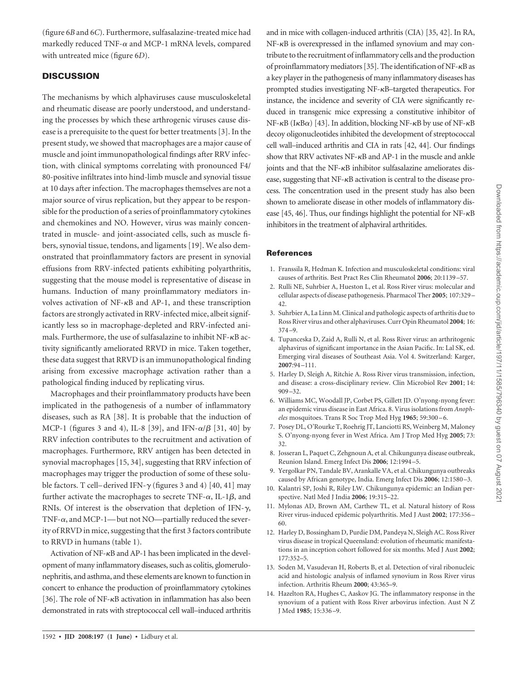(figure 6*B* and 6*C*). Furthermore, sulfasalazine-treated mice had markedly reduced TNF- $\alpha$  and MCP-1 mRNA levels, compared with untreated mice (figure 6*D*).

## **DISCUSSION**

The mechanisms by which alphaviruses cause musculoskeletal and rheumatic disease are poorly understood, and understanding the processes by which these arthrogenic viruses cause disease is a prerequisite to the quest for better treatments [3]. In the present study, we showed that macrophages are a major cause of muscle and joint immunopathological findings after RRV infection, with clinical symptoms correlating with pronounced F4/ 80-positive infiltrates into hind-limb muscle and synovial tissue at 10 days after infection. The macrophages themselves are not a major source of virus replication, but they appear to be responsible for the production of a series of proinflammatory cytokines and chemokines and NO. However, virus was mainly concentrated in muscle- and joint-associated cells, such as muscle fibers, synovial tissue, tendons, and ligaments [19]. We also demonstrated that proinflammatory factors are present in synovial effusions from RRV-infected patients exhibiting polyarthritis, suggesting that the mouse model is representative of disease in humans. Induction of many proinflammatory mediators involves activation of  $NF-\kappa B$  and  $AP-1$ , and these transcription factors are strongly activated in RRV-infected mice, albeit significantly less so in macrophage-depleted and RRV-infected animals. Furthermore, the use of sulfasalazine to inhibit  $NF-\kappa B$  activity significantly ameliorated RRVD in mice. Taken together, these data suggest that RRVD is an immunopathological finding arising from excessive macrophage activation rather than a pathological finding induced by replicating virus.

Macrophages and their proinflammatory products have been implicated in the pathogenesis of a number of inflammatory diseases, such as RA [38]. It is probable that the induction of MCP-1 (figures 3 and 4), IL-8 [39], and IFN- $\alpha/\beta$  [31, 40] by RRV infection contributes to the recruitment and activation of macrophages. Furthermore, RRV antigen has been detected in synovial macrophages [15, 34], suggesting that RRV infection of macrophages may trigger the production of some of these soluble factors. T cell–derived IFN- $\gamma$  (figures 3 and 4) [40, 41] may further activate the macrophages to secrete TNF- $\alpha$ , IL-1 $\beta$ , and RNIs. Of interest is the observation that depletion of IFN- $\gamma$ , TNF- $\alpha$ , and MCP-1—but not NO—partially reduced the severity of RRVD in mice, suggesting that the first 3 factors contribute to RRVD in humans (table 1).

Activation of NF- $\kappa$ B and AP-1 has been implicated in the development of many inflammatory diseases, such as colitis, glomerulonephritis, and asthma, and these elements are known to function in concert to enhance the production of proinflammatory cytokines [36]. The role of NF- $\kappa$ B activation in inflammation has also been demonstrated in rats with streptococcal cell wall–induced arthritis

and in mice with collagen-induced arthritis (CIA) [35, 42]. In RA, NF- $\kappa$ B is overexpressed in the inflamed synovium and may contribute to the recruitment of inflammatory cells and the production of proinflammatory mediators [35]. The identification of NF- $\kappa$ B as a key player in the pathogenesis of many inflammatory diseases has prompted studies investigating NF- $\kappa$ B-targeted therapeutics. For instance, the incidence and severity of CIA were significantly reduced in transgenic mice expressing a constitutive inhibitor of  $NF-\kappa B$  (I $\kappa B\alpha$ ) [43]. In addition, blocking NF- $\kappa B$  by use of NF- $\kappa B$ decoy oligonucleotides inhibited the development of streptococcal cell wall–induced arthritis and CIA in rats [42, 44]. Our findings show that RRV activates NF- $\kappa$ B and AP-1 in the muscle and ankle joints and that the  $NF-\kappa B$  inhibitor sulfasalazine ameliorates disease, suggesting that NF- $\kappa$ B activation is central to the disease process. The concentration used in the present study has also been shown to ameliorate disease in other models of inflammatory disease [45, 46]. Thus, our findings highlight the potential for  $NF-\kappa B$ inhibitors in the treatment of alphaviral arthritides.

## References

- 1. Franssila R, Hedman K. Infection and musculoskeletal conditions: viral causes of arthritis. Best Pract Res Clin Rheumatol **2006**; 20:1139 –57.
- 2. Rulli NE, Suhrbier A, Hueston L, et al. Ross River virus: molecular and cellular aspects of disease pathogenesis. Pharmacol Ther **2005**; 107:329 – 42.
- 3. Suhrbier A, La Linn M. Clinical and pathologic aspects of arthritis due to Ross River virus and other alphaviruses. Curr Opin Rheumatol **2004**; 16: 374 –9.
- 4. Tupanceska D, Zaid A, Rulli N, et al. Ross River virus: an arthritogenic alphavirus of significant importance in the Asian Pacific. In: Lal SK, ed. Emerging viral diseases of Southeast Asia. Vol 4. Switzerland: Karger, **2007**:94 –111.
- 5. Harley D, Sleigh A, Ritchie A. Ross River virus transmission, infection, and disease: a cross-disciplinary review. Clin Microbiol Rev **2001**; 14: 909 –32.
- 6. Williams MC, Woodall JP, Corbet PS, Gillett JD. O'nyong-nyong fever: an epidemic virus disease in East Africa. 8. Virus isolations from *Anopheles* mosquitoes. Trans R Soc Trop Med Hyg **1965**; 59:300 – 6.
- 7. Posey DL, O'Rourke T, Roehrig JT, Lanciotti RS, Weinberg M, Maloney S. O'nyong-nyong fever in West Africa. Am J Trop Med Hyg **2005**; 73: 32.
- 8. Josseran L, Paquet C, Zehgnoun A, et al. Chikungunya disease outbreak, Reunion Island. Emerg Infect Dis **2006**; 12:1994 –5.
- 9. Yergolkar PN, Tandale BV, Arankalle VA, et al. Chikungunya outbreaks caused by African genotype, India. Emerg Infect Dis **2006**; 12:1580 –3.
- 10. Kalantri SP, Joshi R, Riley LW. Chikungunya epidemic: an Indian perspective. Natl Med J India **2006**; 19:315–22.
- 11. Mylonas AD, Brown AM, Carthew TL, et al. Natural history of Ross River virus-induced epidemic polyarthritis. Med J Aust **2002**; 177:356 – 60.
- 12. Harley D, Bossingham D, Purdie DM, Pandeya N, Sleigh AC. Ross River virus disease in tropical Queensland: evolution of rheumatic manifestations in an inception cohort followed for six months. Med J Aust **2002**; 177:352–5.
- 13. Soden M, Vasudevan H, Roberts B, et al. Detection of viral ribonucleic acid and histologic analysis of inflamed synovium in Ross River virus infection. Arthritis Rheum **2000**; 43:365–9.
- 14. Hazelton RA, Hughes C, Aaskov JG. The inflammatory response in the synovium of a patient with Ross River arbovirus infection. Aust N Z J Med **1985**; 15:336 –9.